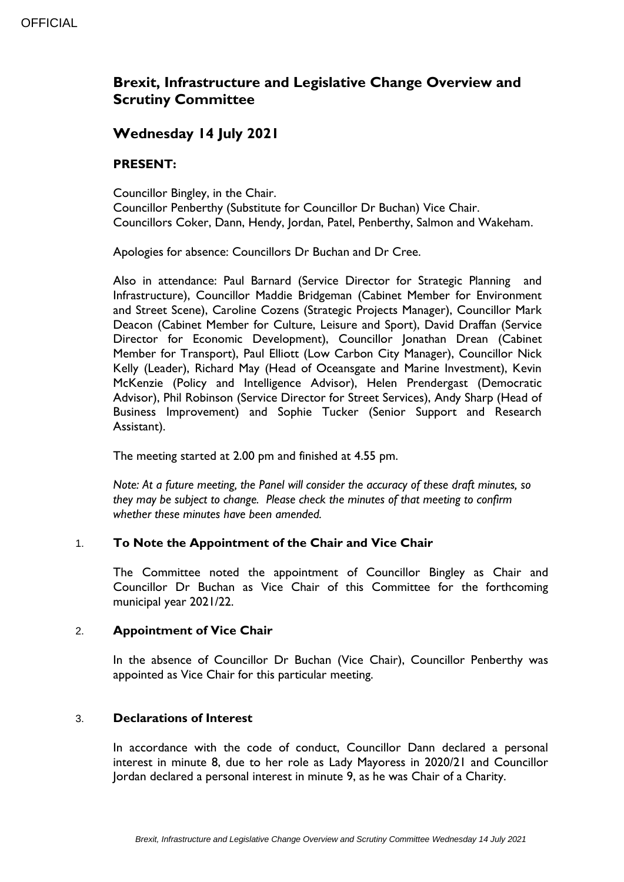# **Brexit, Infrastructure and Legislative Change Overview and Scrutiny Committee**

## **Wednesday 14 July 2021**

## **PRESENT:**

Councillor Bingley, in the Chair. Councillor Penberthy (Substitute for Councillor Dr Buchan) Vice Chair. Councillors Coker, Dann, Hendy, Jordan, Patel, Penberthy, Salmon and Wakeham.

Apologies for absence: Councillors Dr Buchan and Dr Cree.

Also in attendance: Paul Barnard (Service Director for Strategic Planning and Infrastructure), Councillor Maddie Bridgeman (Cabinet Member for Environment and Street Scene), Caroline Cozens (Strategic Projects Manager), Councillor Mark Deacon (Cabinet Member for Culture, Leisure and Sport), David Draffan (Service Director for Economic Development), Councillor Jonathan Drean (Cabinet Member for Transport), Paul Elliott (Low Carbon City Manager), Councillor Nick Kelly (Leader), Richard May (Head of Oceansgate and Marine Investment), Kevin McKenzie (Policy and Intelligence Advisor), Helen Prendergast (Democratic Advisor), Phil Robinson (Service Director for Street Services), Andy Sharp (Head of Business Improvement) and Sophie Tucker (Senior Support and Research Assistant).

The meeting started at 2.00 pm and finished at 4.55 pm.

*Note: At a future meeting, the Panel will consider the accuracy of these draft minutes, so they may be subject to change. Please check the minutes of that meeting to confirm whether these minutes have been amended.*

## 1. **To Note the Appointment of the Chair and Vice Chair**

The Committee noted the appointment of Councillor Bingley as Chair and Councillor Dr Buchan as Vice Chair of this Committee for the forthcoming municipal year 2021/22.

## 2. **Appointment of Vice Chair**

In the absence of Councillor Dr Buchan (Vice Chair), Councillor Penberthy was appointed as Vice Chair for this particular meeting.

#### 3. **Declarations of Interest**

In accordance with the code of conduct, Councillor Dann declared a personal interest in minute 8, due to her role as Lady Mayoress in 2020/21 and Councillor Jordan declared a personal interest in minute 9, as he was Chair of a Charity.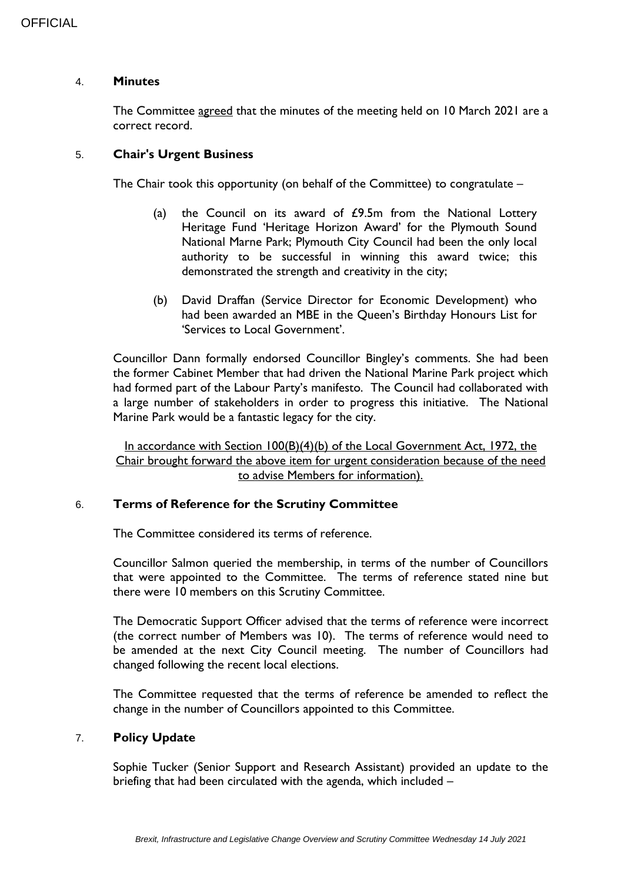#### 4. **Minutes**

The Committee agreed that the minutes of the meeting held on 10 March 2021 are a correct record.

### 5. **Chair's Urgent Business**

The Chair took this opportunity (on behalf of the Committee) to congratulate –

- (a) the Council on its award of  $E$ 9.5m from the National Lottery Heritage Fund 'Heritage Horizon Award' for the Plymouth Sound National Marne Park; Plymouth City Council had been the only local authority to be successful in winning this award twice; this demonstrated the strength and creativity in the city;
- (b) David Draffan (Service Director for Economic Development) who had been awarded an MBE in the Queen's Birthday Honours List for 'Services to Local Government'.

Councillor Dann formally endorsed Councillor Bingley's comments. She had been the former Cabinet Member that had driven the National Marine Park project which had formed part of the Labour Party's manifesto. The Council had collaborated with a large number of stakeholders in order to progress this initiative. The National Marine Park would be a fantastic legacy for the city.

In accordance with Section 100(B)(4)(b) of the Local Government Act, 1972, the Chair brought forward the above item for urgent consideration because of the need to advise Members for information).

#### 6. **Terms of Reference for the Scrutiny Committee**

The Committee considered its terms of reference.

Councillor Salmon queried the membership, in terms of the number of Councillors that were appointed to the Committee. The terms of reference stated nine but there were 10 members on this Scrutiny Committee.

The Democratic Support Officer advised that the terms of reference were incorrect (the correct number of Members was 10). The terms of reference would need to be amended at the next City Council meeting. The number of Councillors had changed following the recent local elections.

The Committee requested that the terms of reference be amended to reflect the change in the number of Councillors appointed to this Committee.

#### 7. **Policy Update**

Sophie Tucker (Senior Support and Research Assistant) provided an update to the briefing that had been circulated with the agenda, which included –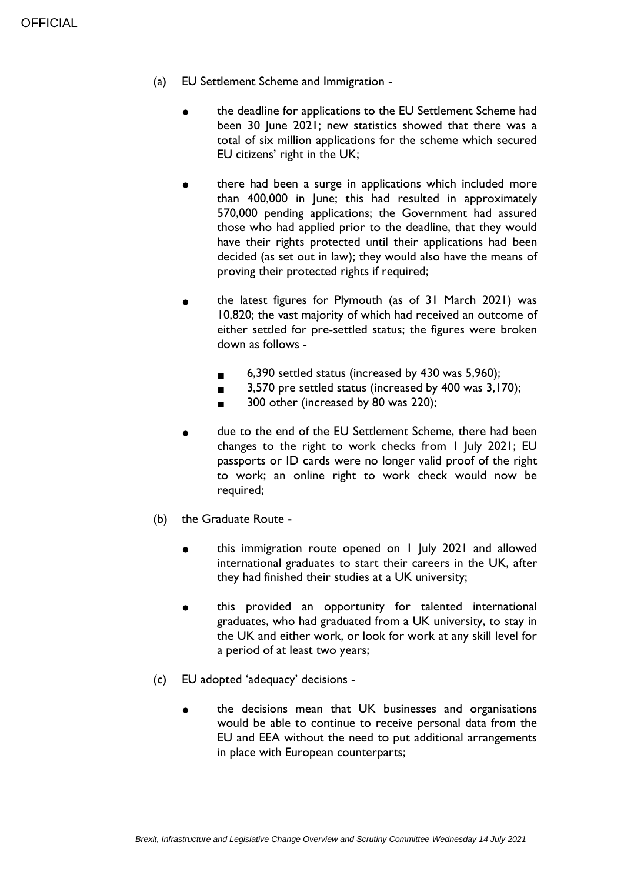- (a) EU Settlement Scheme and Immigration
	- the deadline for applications to the EU Settlement Scheme had been 30 June 2021; new statistics showed that there was a total of six million applications for the scheme which secured EU citizens' right in the UK;
	- there had been a surge in applications which included more than 400,000 in June; this had resulted in approximately 570,000 pending applications; the Government had assured those who had applied prior to the deadline, that they would have their rights protected until their applications had been decided (as set out in law); they would also have the means of proving their protected rights if required;
	- the latest figures for Plymouth (as of 31 March 2021) was 10,820; the vast majority of which had received an outcome of either settled for pre-settled status; the figures were broken down as follows -
		- $6.390$  settled status (increased by 430 was  $5.960$ );
		- $3,570$  pre settled status (increased by  $400$  was  $3,170$ );
		- 300 other (increased by 80 was 220);
	- due to the end of the EU Settlement Scheme, there had been changes to the right to work checks from 1 July 2021; EU passports or ID cards were no longer valid proof of the right to work; an online right to work check would now be required;
- (b) the Graduate Route
	- this immigration route opened on 1 July 2021 and allowed international graduates to start their careers in the UK, after they had finished their studies at a UK university;
	- this provided an opportunity for talented international graduates, who had graduated from a UK university, to stay in the UK and either work, or look for work at any skill level for a period of at least two years;
- (c) EU adopted 'adequacy' decisions
	- the decisions mean that UK businesses and organisations would be able to continue to receive personal data from the EU and EEA without the need to put additional arrangements in place with European counterparts;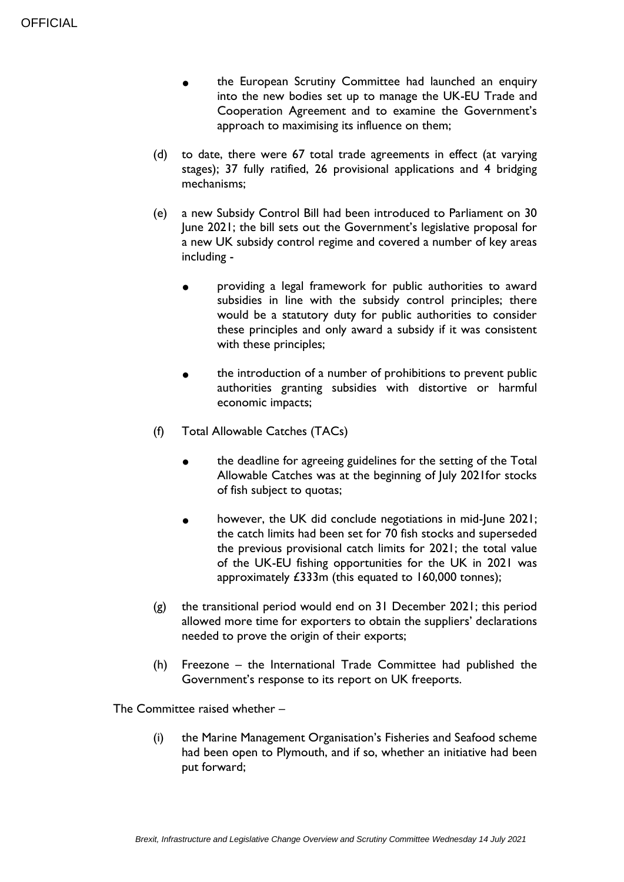- the European Scrutiny Committee had launched an enquiry into the new bodies set up to manage the UK-EU Trade and Cooperation Agreement and to examine the Government's approach to maximising its influence on them;
- (d) to date, there were 67 total trade agreements in effect (at varying stages); 37 fully ratified, 26 provisional applications and 4 bridging mechanisms;
- (e) a new Subsidy Control Bill had been introduced to Parliament on 30 June 2021; the bill sets out the Government's legislative proposal for a new UK subsidy control regime and covered a number of key areas including
	- providing a legal framework for public authorities to award subsidies in line with the subsidy control principles; there would be a statutory duty for public authorities to consider these principles and only award a subsidy if it was consistent with these principles;
	- the introduction of a number of prohibitions to prevent public authorities granting subsidies with distortive or harmful economic impacts;
- (f) Total Allowable Catches (TACs)
	- the deadline for agreeing guidelines for the setting of the Total Allowable Catches was at the beginning of July 2021for stocks of fish subject to quotas;
	- however, the UK did conclude negotiations in mid-June 2021; the catch limits had been set for 70 fish stocks and superseded the previous provisional catch limits for 2021; the total value of the UK-EU fishing opportunities for the UK in 2021 was approximately £333m (this equated to 160,000 tonnes);
- (g) the transitional period would end on 31 December 2021; this period allowed more time for exporters to obtain the suppliers' declarations needed to prove the origin of their exports;
- (h) Freezone the International Trade Committee had published the Government's response to its report on UK freeports.

The Committee raised whether –

(i) the Marine Management Organisation's Fisheries and Seafood scheme had been open to Plymouth, and if so, whether an initiative had been put forward;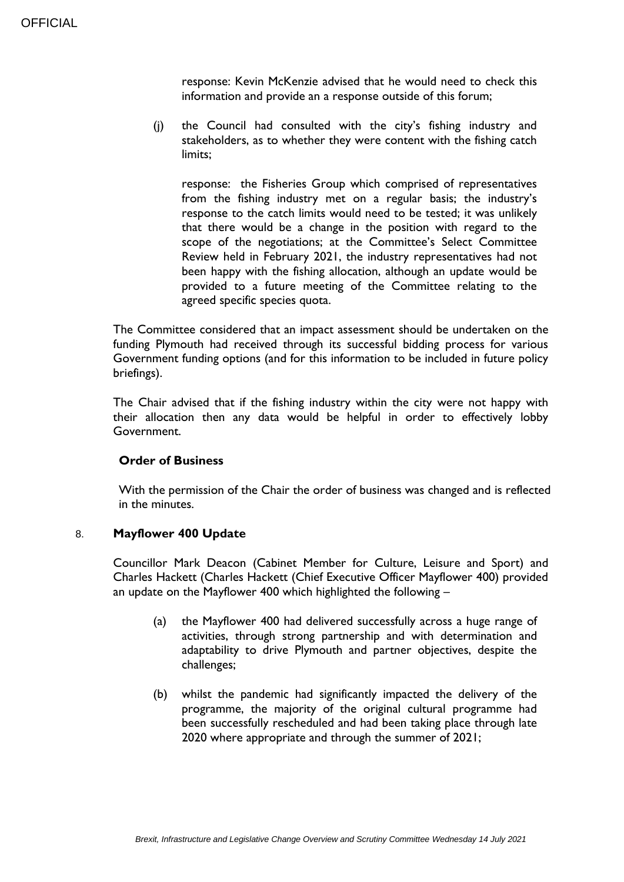response: Kevin McKenzie advised that he would need to check this information and provide an a response outside of this forum;

(j) the Council had consulted with the city's fishing industry and stakeholders, as to whether they were content with the fishing catch limits;

response: the Fisheries Group which comprised of representatives from the fishing industry met on a regular basis; the industry's response to the catch limits would need to be tested; it was unlikely that there would be a change in the position with regard to the scope of the negotiations; at the Committee's Select Committee Review held in February 2021, the industry representatives had not been happy with the fishing allocation, although an update would be provided to a future meeting of the Committee relating to the agreed specific species quota.

The Committee considered that an impact assessment should be undertaken on the funding Plymouth had received through its successful bidding process for various Government funding options (and for this information to be included in future policy briefings).

The Chair advised that if the fishing industry within the city were not happy with their allocation then any data would be helpful in order to effectively lobby Government.

## **Order of Business**

With the permission of the Chair the order of business was changed and is reflected in the minutes.

#### 8. **Mayflower 400 Update**

Councillor Mark Deacon (Cabinet Member for Culture, Leisure and Sport) and Charles Hackett (Charles Hackett (Chief Executive Officer Mayflower 400) provided an update on the Mayflower 400 which highlighted the following –

- (a) the Mayflower 400 had delivered successfully across a huge range of activities, through strong partnership and with determination and adaptability to drive Plymouth and partner objectives, despite the challenges;
- (b) whilst the pandemic had significantly impacted the delivery of the programme, the majority of the original cultural programme had been successfully rescheduled and had been taking place through late 2020 where appropriate and through the summer of 2021;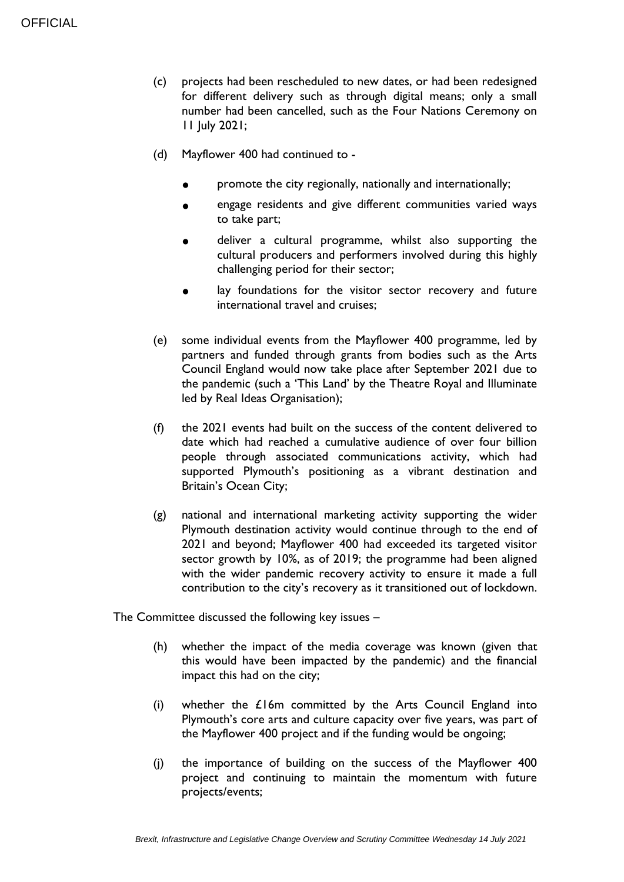- (c) projects had been rescheduled to new dates, or had been redesigned for different delivery such as through digital means; only a small number had been cancelled, such as the Four Nations Ceremony on 11 July 2021;
- (d) Mayflower 400 had continued to
	- promote the city regionally, nationally and internationally;
	- engage residents and give different communities varied ways to take part;
	- deliver a cultural programme, whilst also supporting the cultural producers and performers involved during this highly challenging period for their sector;
	- lay foundations for the visitor sector recovery and future international travel and cruises;
- (e) some individual events from the Mayflower 400 programme, led by partners and funded through grants from bodies such as the Arts Council England would now take place after September 2021 due to the pandemic (such a 'This Land' by the Theatre Royal and Illuminate led by Real Ideas Organisation);
- (f) the 2021 events had built on the success of the content delivered to date which had reached a cumulative audience of over four billion people through associated communications activity, which had supported Plymouth's positioning as a vibrant destination and Britain's Ocean City;
- (g) national and international marketing activity supporting the wider Plymouth destination activity would continue through to the end of 2021 and beyond; Mayflower 400 had exceeded its targeted visitor sector growth by 10%, as of 2019; the programme had been aligned with the wider pandemic recovery activity to ensure it made a full contribution to the city's recovery as it transitioned out of lockdown.

The Committee discussed the following key issues –

- (h) whether the impact of the media coverage was known (given that this would have been impacted by the pandemic) and the financial impact this had on the city;
- (i) whether the £16m committed by the Arts Council England into Plymouth's core arts and culture capacity over five years, was part of the Mayflower 400 project and if the funding would be ongoing;
- (j) the importance of building on the success of the Mayflower 400 project and continuing to maintain the momentum with future projects/events;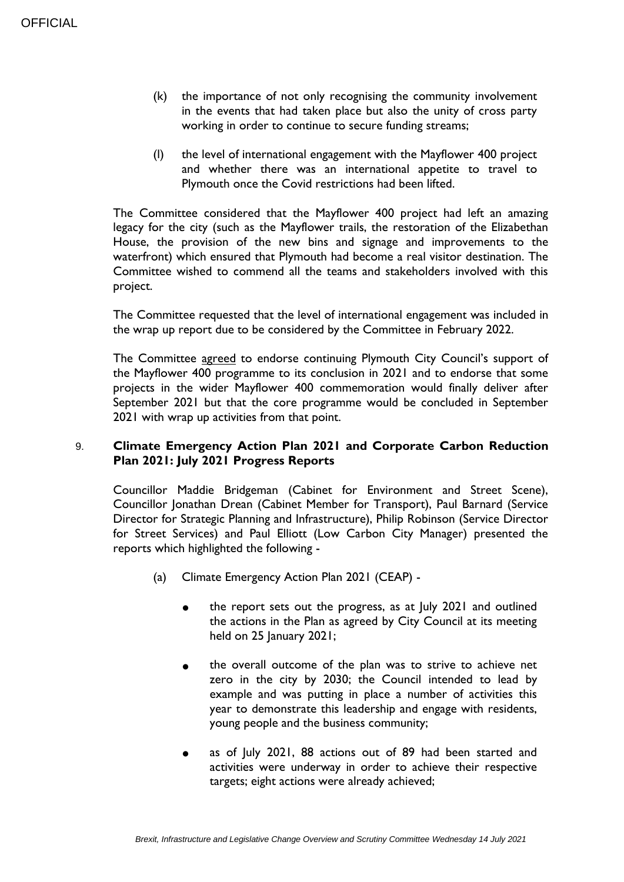- (k) the importance of not only recognising the community involvement in the events that had taken place but also the unity of cross party working in order to continue to secure funding streams;
- (l) the level of international engagement with the Mayflower 400 project and whether there was an international appetite to travel to Plymouth once the Covid restrictions had been lifted.

The Committee considered that the Mayflower 400 project had left an amazing legacy for the city (such as the Mayflower trails, the restoration of the Elizabethan House, the provision of the new bins and signage and improvements to the waterfront) which ensured that Plymouth had become a real visitor destination. The Committee wished to commend all the teams and stakeholders involved with this project.

The Committee requested that the level of international engagement was included in the wrap up report due to be considered by the Committee in February 2022.

The Committee agreed to endorse continuing Plymouth City Council's support of the Mayflower 400 programme to its conclusion in 2021 and to endorse that some projects in the wider Mayflower 400 commemoration would finally deliver after September 2021 but that the core programme would be concluded in September 2021 with wrap up activities from that point.

## 9. **Climate Emergency Action Plan 2021 and Corporate Carbon Reduction Plan 2021: July 2021 Progress Reports**

Councillor Maddie Bridgeman (Cabinet for Environment and Street Scene), Councillor Jonathan Drean (Cabinet Member for Transport), Paul Barnard (Service Director for Strategic Planning and Infrastructure), Philip Robinson (Service Director for Street Services) and Paul Elliott (Low Carbon City Manager) presented the reports which highlighted the following -

- (a) Climate Emergency Action Plan 2021 (CEAP)
	- the report sets out the progress, as at July 2021 and outlined the actions in the Plan as agreed by City Council at its meeting held on  $25$  January  $2021$ ;
	- the overall outcome of the plan was to strive to achieve net zero in the city by 2030; the Council intended to lead by example and was putting in place a number of activities this year to demonstrate this leadership and engage with residents, young people and the business community;
	- as of July 2021, 88 actions out of 89 had been started and activities were underway in order to achieve their respective targets; eight actions were already achieved;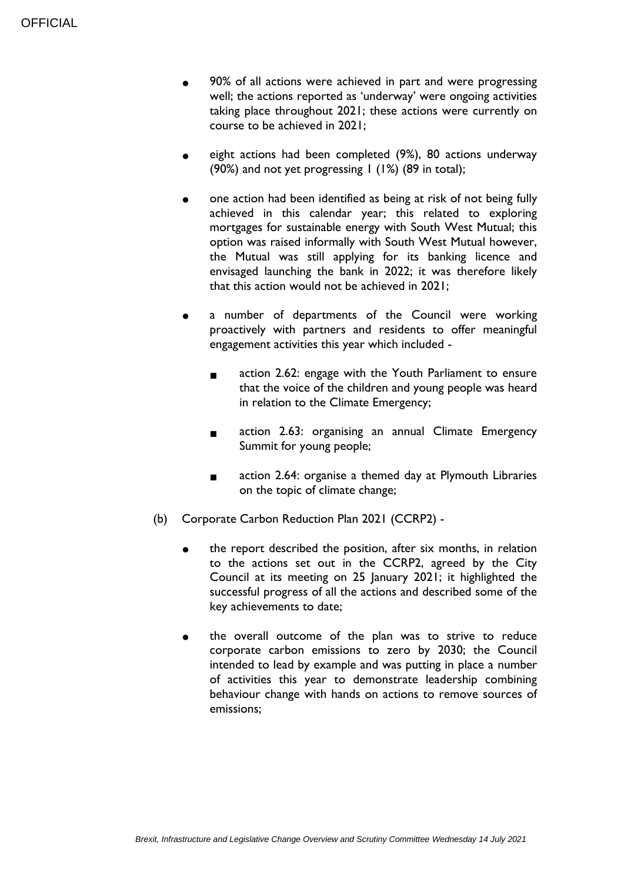- 90% of all actions were achieved in part and were progressing well; the actions reported as 'underway' were ongoing activities taking place throughout 2021; these actions were currently on course to be achieved in 2021;
- eight actions had been completed (9%), 80 actions underway (90%) and not yet progressing  $\vert$  (1%) (89 in total);
- one action had been identified as being at risk of not being fully achieved in this calendar year; this related to exploring mortgages for sustainable energy with South West Mutual; this option was raised informally with South West Mutual however, the Mutual was still applying for its banking licence and envisaged launching the bank in 2022; it was therefore likely that this action would not be achieved in 2021;
- a number of departments of the Council were working proactively with partners and residents to offer meaningful engagement activities this year which included -
	- action 2.62: engage with the Youth Parliament to ensure that the voice of the children and young people was heard in relation to the Climate Emergency;
	- action 2.63: organising an annual Climate Emergency Summit for young people;
	- action 2.64: organise a themed day at Plymouth Libraries on the topic of climate change;
- (b) Corporate Carbon Reduction Plan 2021 (CCRP2)
	- the report described the position, after six months, in relation to the actions set out in the CCRP2, agreed by the City Council at its meeting on 25 January 2021; it highlighted the successful progress of all the actions and described some of the key achievements to date;
	- the overall outcome of the plan was to strive to reduce corporate carbon emissions to zero by 2030; the Council intended to lead by example and was putting in place a number of activities this year to demonstrate leadership combining behaviour change with hands on actions to remove sources of emissions;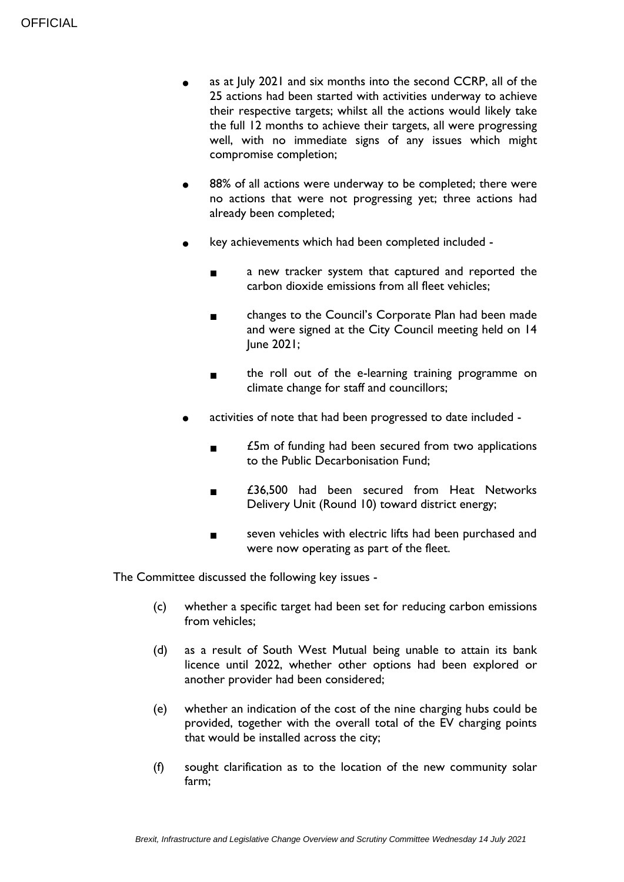- as at July 2021 and six months into the second CCRP, all of the 25 actions had been started with activities underway to achieve their respective targets; whilst all the actions would likely take the full 12 months to achieve their targets, all were progressing well, with no immediate signs of any issues which might compromise completion;
- 88% of all actions were underway to be completed; there were no actions that were not progressing yet; three actions had already been completed;
- key achievements which had been completed included -
	- a new tracker system that captured and reported the carbon dioxide emissions from all fleet vehicles;
	- changes to the Council's Corporate Plan had been made and were signed at the City Council meeting held on 14 June 2021;
	- the roll out of the e-learning training programme on climate change for staff and councillors;
- activities of note that had been progressed to date included -
	- £5m of funding had been secured from two applications to the Public Decarbonisation Fund;
	- £36,500 had been secured from Heat Networks Delivery Unit (Round 10) toward district energy;
	- seven vehicles with electric lifts had been purchased and were now operating as part of the fleet.

The Committee discussed the following key issues -

- (c) whether a specific target had been set for reducing carbon emissions from vehicles;
- (d) as a result of South West Mutual being unable to attain its bank licence until 2022, whether other options had been explored or another provider had been considered;
- (e) whether an indication of the cost of the nine charging hubs could be provided, together with the overall total of the EV charging points that would be installed across the city;
- (f) sought clarification as to the location of the new community solar farm;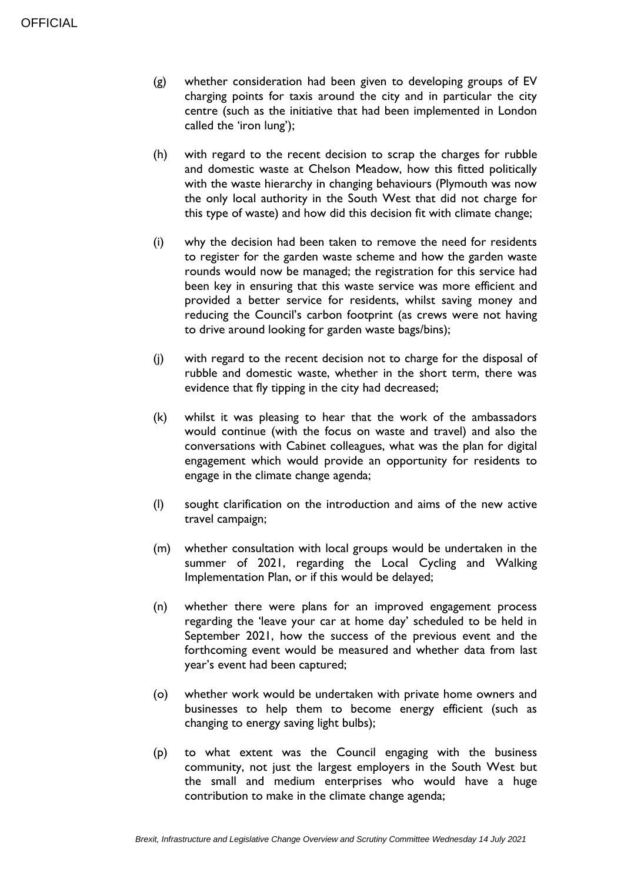- (g) whether consideration had been given to developing groups of EV charging points for taxis around the city and in particular the city centre (such as the initiative that had been implemented in London called the 'iron lung');
- (h) with regard to the recent decision to scrap the charges for rubble and domestic waste at Chelson Meadow, how this fitted politically with the waste hierarchy in changing behaviours (Plymouth was now the only local authority in the South West that did not charge for this type of waste) and how did this decision fit with climate change;
- (i) why the decision had been taken to remove the need for residents to register for the garden waste scheme and how the garden waste rounds would now be managed; the registration for this service had been key in ensuring that this waste service was more efficient and provided a better service for residents, whilst saving money and reducing the Council's carbon footprint (as crews were not having to drive around looking for garden waste bags/bins);
- (j) with regard to the recent decision not to charge for the disposal of rubble and domestic waste, whether in the short term, there was evidence that fly tipping in the city had decreased;
- (k) whilst it was pleasing to hear that the work of the ambassadors would continue (with the focus on waste and travel) and also the conversations with Cabinet colleagues, what was the plan for digital engagement which would provide an opportunity for residents to engage in the climate change agenda;
- (l) sought clarification on the introduction and aims of the new active travel campaign;
- (m) whether consultation with local groups would be undertaken in the summer of 2021, regarding the Local Cycling and Walking Implementation Plan, or if this would be delayed;
- (n) whether there were plans for an improved engagement process regarding the 'leave your car at home day' scheduled to be held in September 2021, how the success of the previous event and the forthcoming event would be measured and whether data from last year's event had been captured;
- (o) whether work would be undertaken with private home owners and businesses to help them to become energy efficient (such as changing to energy saving light bulbs);
- (p) to what extent was the Council engaging with the business community, not just the largest employers in the South West but the small and medium enterprises who would have a huge contribution to make in the climate change agenda;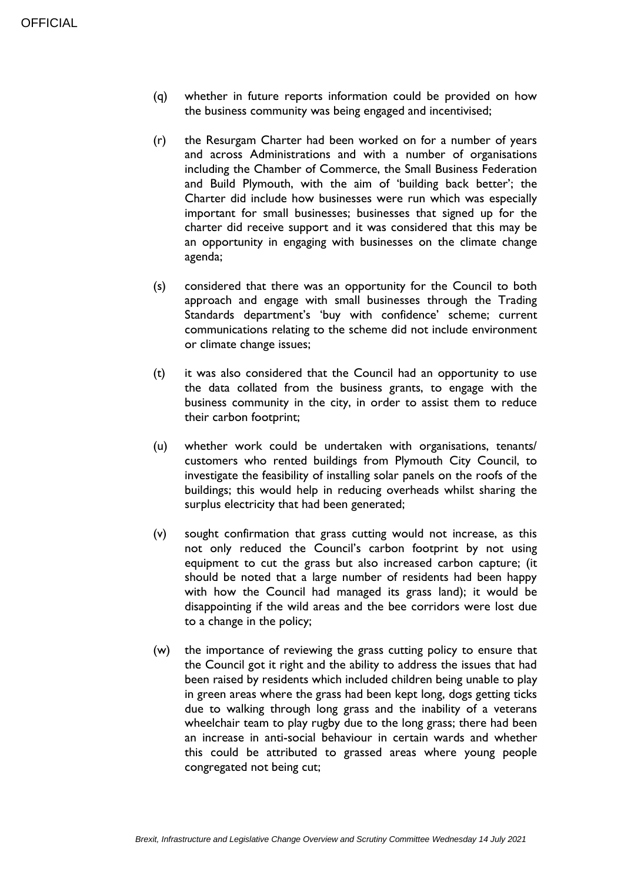- (q) whether in future reports information could be provided on how the business community was being engaged and incentivised;
- (r) the Resurgam Charter had been worked on for a number of years and across Administrations and with a number of organisations including the Chamber of Commerce, the Small Business Federation and Build Plymouth, with the aim of 'building back better'; the Charter did include how businesses were run which was especially important for small businesses; businesses that signed up for the charter did receive support and it was considered that this may be an opportunity in engaging with businesses on the climate change agenda;
- (s) considered that there was an opportunity for the Council to both approach and engage with small businesses through the Trading Standards department's 'buy with confidence' scheme; current communications relating to the scheme did not include environment or climate change issues;
- (t) it was also considered that the Council had an opportunity to use the data collated from the business grants, to engage with the business community in the city, in order to assist them to reduce their carbon footprint;
- (u) whether work could be undertaken with organisations, tenants/ customers who rented buildings from Plymouth City Council, to investigate the feasibility of installing solar panels on the roofs of the buildings; this would help in reducing overheads whilst sharing the surplus electricity that had been generated;
- (v) sought confirmation that grass cutting would not increase, as this not only reduced the Council's carbon footprint by not using equipment to cut the grass but also increased carbon capture; (it should be noted that a large number of residents had been happy with how the Council had managed its grass land); it would be disappointing if the wild areas and the bee corridors were lost due to a change in the policy;
- (w) the importance of reviewing the grass cutting policy to ensure that the Council got it right and the ability to address the issues that had been raised by residents which included children being unable to play in green areas where the grass had been kept long, dogs getting ticks due to walking through long grass and the inability of a veterans wheelchair team to play rugby due to the long grass; there had been an increase in anti-social behaviour in certain wards and whether this could be attributed to grassed areas where young people congregated not being cut;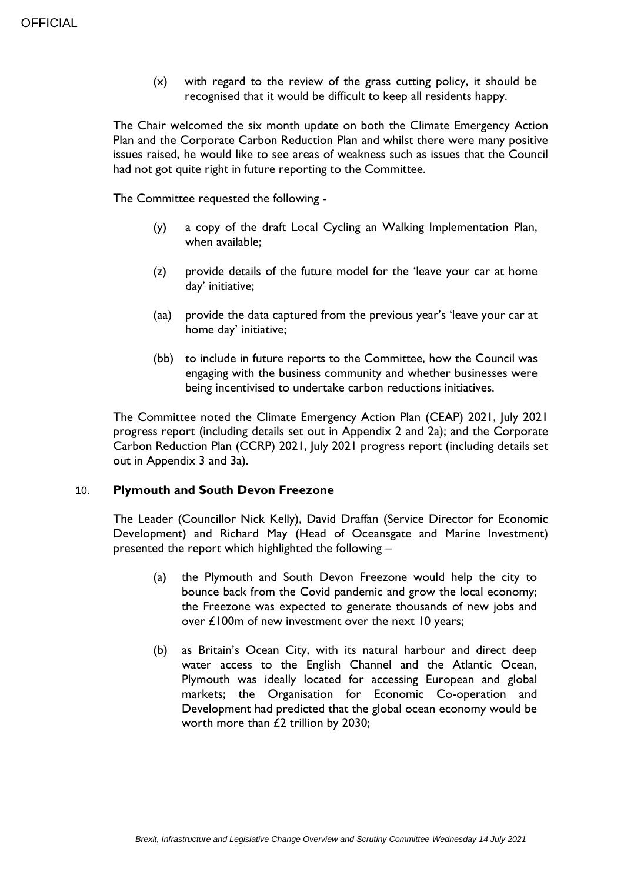(x) with regard to the review of the grass cutting policy, it should be recognised that it would be difficult to keep all residents happy.

The Chair welcomed the six month update on both the Climate Emergency Action Plan and the Corporate Carbon Reduction Plan and whilst there were many positive issues raised, he would like to see areas of weakness such as issues that the Council had not got quite right in future reporting to the Committee.

The Committee requested the following -

- (y) a copy of the draft Local Cycling an Walking Implementation Plan, when available;
- (z) provide details of the future model for the 'leave your car at home day' initiative;
- (aa) provide the data captured from the previous year's 'leave your car at home day' initiative;
- (bb) to include in future reports to the Committee, how the Council was engaging with the business community and whether businesses were being incentivised to undertake carbon reductions initiatives.

The Committee noted the Climate Emergency Action Plan (CEAP) 2021, July 2021 progress report (including details set out in Appendix 2 and 2a); and the Corporate Carbon Reduction Plan (CCRP) 2021, July 2021 progress report (including details set out in Appendix 3 and 3a).

## 10. **Plymouth and South Devon Freezone**

The Leader (Councillor Nick Kelly), David Draffan (Service Director for Economic Development) and Richard May (Head of Oceansgate and Marine Investment) presented the report which highlighted the following –

- (a) the Plymouth and South Devon Freezone would help the city to bounce back from the Covid pandemic and grow the local economy; the Freezone was expected to generate thousands of new jobs and over £100m of new investment over the next 10 years;
- (b) as Britain's Ocean City, with its natural harbour and direct deep water access to the English Channel and the Atlantic Ocean, Plymouth was ideally located for accessing European and global markets; the Organisation for Economic Co-operation and Development had predicted that the global ocean economy would be worth more than £2 trillion by 2030;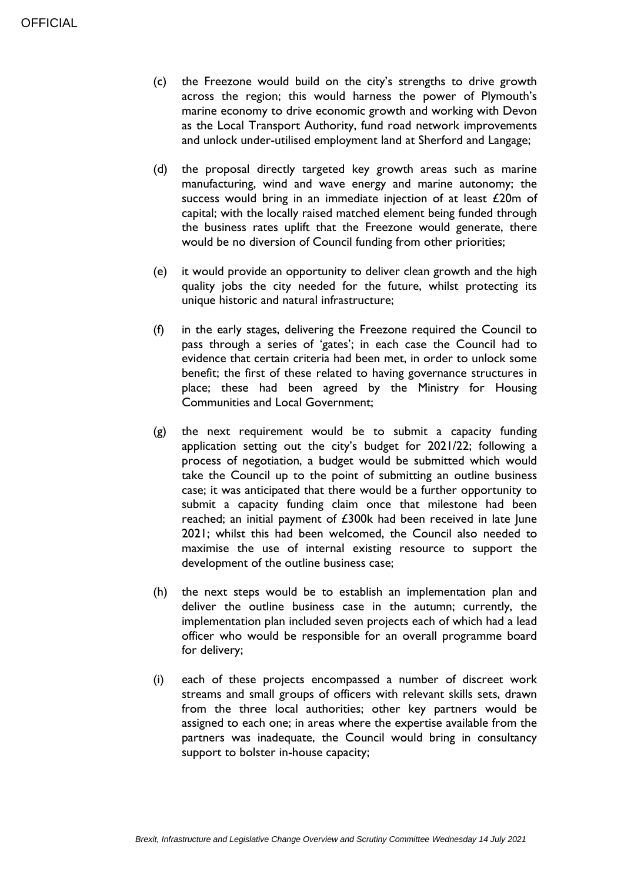- (c) the Freezone would build on the city's strengths to drive growth across the region; this would harness the power of Plymouth's marine economy to drive economic growth and working with Devon as the Local Transport Authority, fund road network improvements and unlock under-utilised employment land at Sherford and Langage;
- (d) the proposal directly targeted key growth areas such as marine manufacturing, wind and wave energy and marine autonomy; the success would bring in an immediate injection of at least £20m of capital; with the locally raised matched element being funded through the business rates uplift that the Freezone would generate, there would be no diversion of Council funding from other priorities;
- (e) it would provide an opportunity to deliver clean growth and the high quality jobs the city needed for the future, whilst protecting its unique historic and natural infrastructure;
- (f) in the early stages, delivering the Freezone required the Council to pass through a series of 'gates'; in each case the Council had to evidence that certain criteria had been met, in order to unlock some benefit; the first of these related to having governance structures in place; these had been agreed by the Ministry for Housing Communities and Local Government;
- (g) the next requirement would be to submit a capacity funding application setting out the city's budget for 2021/22; following a process of negotiation, a budget would be submitted which would take the Council up to the point of submitting an outline business case; it was anticipated that there would be a further opportunity to submit a capacity funding claim once that milestone had been reached; an initial payment of £300k had been received in late June 2021; whilst this had been welcomed, the Council also needed to maximise the use of internal existing resource to support the development of the outline business case;
- (h) the next steps would be to establish an implementation plan and deliver the outline business case in the autumn; currently, the implementation plan included seven projects each of which had a lead officer who would be responsible for an overall programme board for delivery;
- (i) each of these projects encompassed a number of discreet work streams and small groups of officers with relevant skills sets, drawn from the three local authorities; other key partners would be assigned to each one; in areas where the expertise available from the partners was inadequate, the Council would bring in consultancy support to bolster in-house capacity;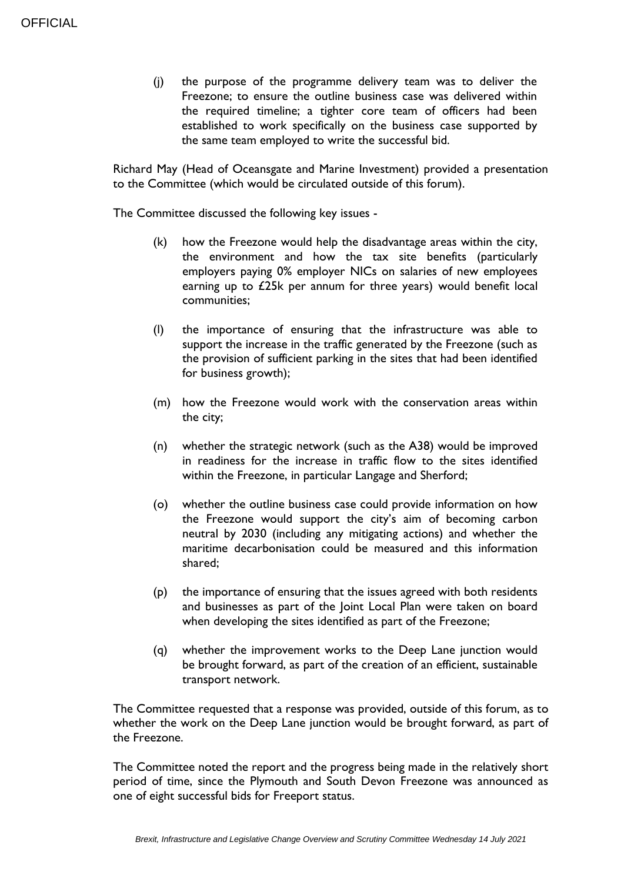(j) the purpose of the programme delivery team was to deliver the Freezone; to ensure the outline business case was delivered within the required timeline; a tighter core team of officers had been established to work specifically on the business case supported by the same team employed to write the successful bid.

Richard May (Head of Oceansgate and Marine Investment) provided a presentation to the Committee (which would be circulated outside of this forum).

The Committee discussed the following key issues -

- (k) how the Freezone would help the disadvantage areas within the city, the environment and how the tax site benefits (particularly employers paying 0% employer NICs on salaries of new employees earning up to £25k per annum for three years) would benefit local communities;
- (l) the importance of ensuring that the infrastructure was able to support the increase in the traffic generated by the Freezone (such as the provision of sufficient parking in the sites that had been identified for business growth);
- (m) how the Freezone would work with the conservation areas within the city;
- (n) whether the strategic network (such as the A38) would be improved in readiness for the increase in traffic flow to the sites identified within the Freezone, in particular Langage and Sherford;
- (o) whether the outline business case could provide information on how the Freezone would support the city's aim of becoming carbon neutral by 2030 (including any mitigating actions) and whether the maritime decarbonisation could be measured and this information shared;
- (p) the importance of ensuring that the issues agreed with both residents and businesses as part of the Joint Local Plan were taken on board when developing the sites identified as part of the Freezone;
- (q) whether the improvement works to the Deep Lane junction would be brought forward, as part of the creation of an efficient, sustainable transport network.

The Committee requested that a response was provided, outside of this forum, as to whether the work on the Deep Lane junction would be brought forward, as part of the Freezone.

The Committee noted the report and the progress being made in the relatively short period of time, since the Plymouth and South Devon Freezone was announced as one of eight successful bids for Freeport status.